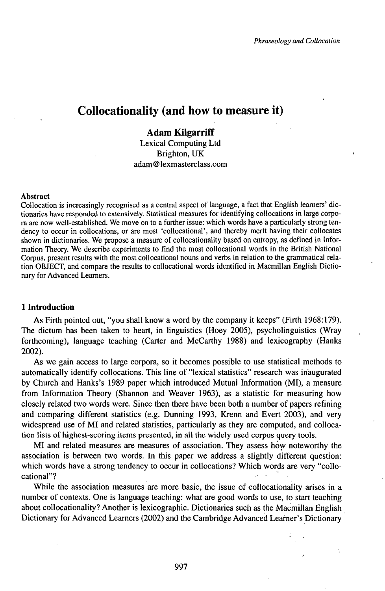# Collocationality (and how to measure it)

## **Adam Kilgarriff**

Lexical Computing Ltd Brighton, UK adam @ lexmasterclass.com

#### **Abstract**

Collocation is increasingly recognised as a central aspect of language, a fact that English learners' dictionaries have responded to extensively. Statistical measures for identifying collocations in large corpora are now well-established. We move on to a further issue: which words have a particularly strong tendency to occur in collocations, or are most 'collocational', and thereby merit having their collocates shown in dictionaries. We propose a measure of collocationality based on entropy, as defined in Information Theory. We describe experiments to find the most collocational words in the British National Corpus, present results with the most collocational nouns and verbs in relation to the grammatical relation OBJECT, and compare the results to collocational words identified in Macmillan English Dictionary for Advanced Learners.

### **1 Introduction**

As Firth pointed out, "you shall know a word by the company it keeps" (Firth 1968:179). The dictum has been taken to heart, in linguistics (Hoey 2005), psycholinguistics (Wray forthcoming), language teaching (Carter and McCarthy 1988) and lexicography (Hanks 2002).

As we gain access to large corpora, so it becomes possible to use statistical methods to automatically identify collocations. This line of "lexical statistics" research was inaugurated by Church and Hanks's 1989 paper which introduced Mutual Information (MI), a measure from Information Theory (Shannon and Weaver 1963), as a statistic for measuring how closely related two words were. Since then there have been both a number of papers refining and comparing different statistics (e.g. Dunning 1993, Krenn and Evert 2003), and very widespread use of MI and related statistics, particularly as they are computed, and collocation lists of highest-scoring items presented, in all the widely used corpus query tools.

MI and related measures are measures of association. They assess how noteworthy the association is between two words. In this paper we address a slightly different question: which words have a strong tendency to occur in collocations? Which words are very "collocational"?

While the association measures are more basic, the issue of collocationality arises in a number of contexts. One is language teaching: what are good words to use, to start teaching about collocationality? Another is lexicographic. Dictionaries such as the Macmillan English Dictionary for Advanced Learners (2002) and the Cambridge Advanced Learner's Dictionary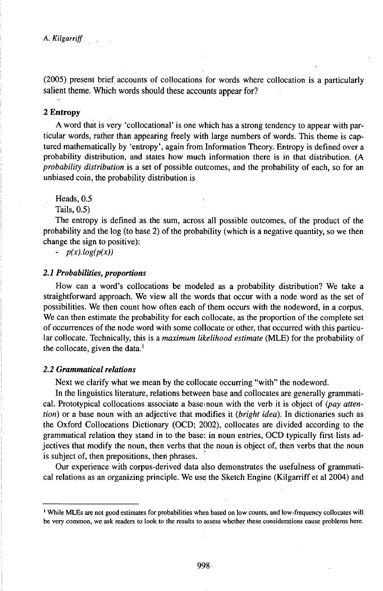(2005) present brief accounts of collocations for words where collocation is a particularly salient theme. Which words should these accounts appear for?

#### **2 Entropy**

A word that is very 'collocational' is one which has a strong tendency to appear with particular words, rather than appearing freely with large numbers of words. This theme is captured mathematically by 'entropy', again from Information Theory. Entropy is defined over a probability distribution, and states how much information there is in that distribution. (A *probability distribution* is a set of possible outcomes, and the probability of each, so for an unbiased coin, the probability distribution is

Heads, 0.5

Tails, 0.5)

The entropy is defined as the sum, across all possible outcomes, of the product of the probability and the log (to base 2) of the probability (which is a negative quantity, so we then change the sign to positive):

- *p(x).log(p(x))*

#### 2.1 Probabilities, proportions

How can a word's collocations be modeled as a probability distribution? We take a straightforward approach. We view all the words that occur with a node word as the set of possibilities. We then count how often each of them occurs with the nodeword, in a corpus. We can then estimate the probability for each collocate, as the proportion of the complete set of occurrences of the node word with some collocate or other, that occurred with this particular collocate. Technically, this is a *maximum likelihood estimate* (MLE) for the probability of the collocate, given the data. $<sup>1</sup>$ </sup>

### 2.2 *Grammatical relations*

Next we clarify what we mean by the collocate occurring "with" the nodeword.

In the linguistics literature, relations betweén base and collocates are generally grammatical. Prototypical collocations associate a base noun with the verb it is object of *(pay attention)* or a base noun with an adjective that modifies it *(bright idea).* In dictionaries such as the Oxford Collocations Dictionary (OCD; 2002), collocates are divided according to the grammatical relation they stand in to the base: in noun entries, OCD typically first lists adjectives that modify the noun, then verbs that the noun is object of, then verbs that the noun is subject of, then prepositions, then phrases.

Our experience with corpus-derived data also demonstrates the usefulness of grammatical relations as an organizing principle. We use the Sketch Engine (Kilgarriff et al 2004) and

<sup>&</sup>lt;sup>1</sup> While MLEs are not good estimates for probabilities when based on low counts, and low-frequency collocates will be very common, we ask readers to look to the results to assess whether these considerations cause problems here.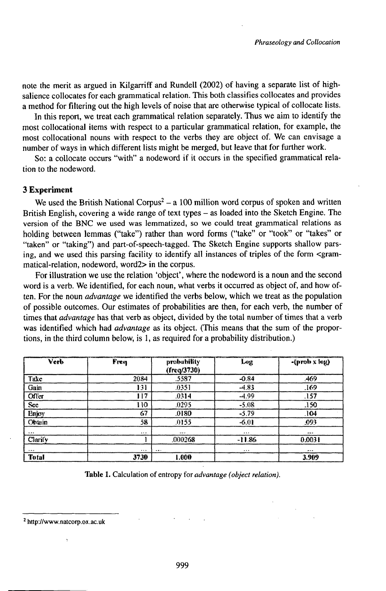note the merit as argued in Kilgarriff and Rundell (2002) of having a separate list of highsalience collocates for each grammatical relation. This both classifies collocates and provides a method for filtering out the high levels of noise that are otherwise typical of collocate lists.

In this report, we treat each grammatical relation separately. Thus we aim to identify the most collocational items with respect to a particular grammatical relation, for example, the most collocational nouns with respect to the verbs they are object of. We can envisage a number of ways in which different lists might be merged, but leave that for further work.

So: a collocate occurs "with" a nodeword if it occurs in the specified grammatical relation to the nodeword.

## **3 Experiment**

We used the British National Corpus<sup>2</sup> – a 100 million word corpus of spoken and written British English, covering a wide range of text types – as loaded into the Sketch Engine. The version of the BNC we used was lemmatized, so we could treat grammatical relations as holding between lemmas ("take") rather than word forms ("take" or "took" or "takes" or "taken" or "taking") and part-of-speech-tagged. The Sketch Engine supports shallow parsing, and we used this parsing facility to identify all instances of triples of the form <grammatical-relation, nodeword, word2> in the corpus.

For illustration we use the relation 'object', where the nodeword is a noun and the second word is a verb. We identified, for each noun, what verbs it occurred as object of, and how often. For the noun *advantage* we identified the verbs below, which we treat as the population of possible outcomes. Our estimates of probabilities are then, for each verb, the number of times that *advantage* has that verb as object, divided by the total number of times that a verb was identified which had *advantage* as its object. (This means that the sum of the proportions, in the third column below, is 1, as required for a probability distribution.)

| Verb          | Freq             | probability<br>(freq/3730) | eenameth000000000<br>Log | -(prob x log) |
|---------------|------------------|----------------------------|--------------------------|---------------|
| Take          | 2034             | .5587                      | $-0.84$                  | .469          |
|               | 131              | .0351                      | $-4.83$                  | .169          |
| Gain<br>Offer | 117              | .0314                      | $-1.99$                  | .157          |
| Sce<br>Enjoy  | 110              | .0295                      | $-5.08$                  | .150          |
|               | $\epsilon$ r $7$ | .0180                      | $-5.79$                  | -104          |
| <b>Obtain</b> | 58               | 0155                       | $-6.01$                  | .093          |
|               | $\cdots$         |                            | 1.11                     |               |
| Clarify       |                  | .000268                    | $-11.86$                 | 0.0031        |
| <b>MAN</b>    |                  |                            | $\cdots$                 | $A \times B$  |
| Total         | 3730             | 000.1                      |                          | 3.909         |

Table 1. Calculation of entropy for *advantage* (*object relation*).

<sup>!</sup> http://www.natcorp.ox.ac.uk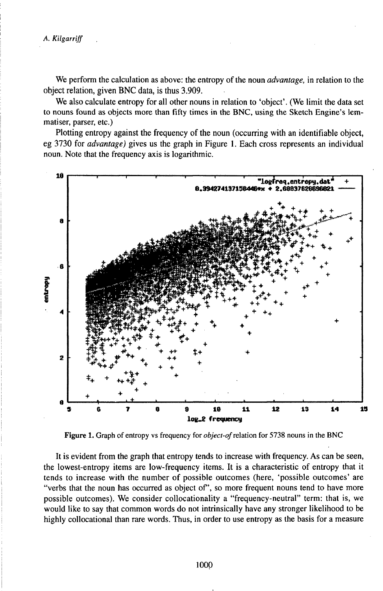*A. Kìlgarriff*

We perform the calculation as above: the entropy of the noun *advantage*, in relation to the object relation, given BNC data, is thus 3.909.

We also calculate entropy for all other nouns in relation to 'object'. (We limit the data set to nouns found as objects more than fifty times in the BNC, using the Sketch Engine's lemmatiser, parser, etc.)

Plotting entropy against the frequency of the noun (occurring with an identifiable object, eg 3730 for *advantage)* gives us the graph in Figure 1. Each cross represents an individual noun. Note that the frequency axis is logarithmic.



Figure 1. Graph of entropy vs frequency for object-of relation for 5738 nouns in the BNC

It is evident from the graph that entropy tends to increase with frequency. As can be seen, the lowest-entropy items are low-frequency items. It is a characteristic of entropy that it tends to increase with the number of possible outcomes (here, 'possible outcomes' are "verbs that the noun has occurred as object of', so more frequent nouns tend to have more possible outcomes). We consider collocationality a "frequency-neutral" term: that is, we would like to say that common words do not intrinsically have any stronger likelihood to be highly collocational than rare words. Thus, in order to use entropy as the basis for a measure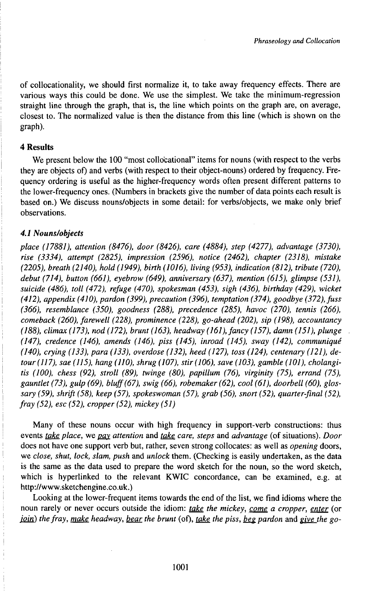of collocationality, we should first normalize it, to take away frequency effects. There are various ways this could be done. We use the simplest. We take the minimum-regression straight line through the graph, that is, the line which points on the graph are, on average, closest to. The normalized value is then the distance from this line (which is shown on the graph).

## **4 Results**

We present below the 100 "most collocational" items for nouns (with respect to the verbs they are objects of) and verbs (with respect to their object-nouns) ordered by frequency. Frequency ordering is useful as the higher-frequency words often present different patterns to the lower-frequency ones. (Numbers in brackets give the number of data points each result is based on.) We discuss nouns/objects in some detail: for verbs/objects, we make only brief observations.

## *4.1 Nouns/objects*

*place (17881), attention (8476), door (8426), care (4884), step (4277), advantage (3730), rise (3334), attempt (2825), impression (2596), notice (2462), chapter (2318), mistake (2205), breath (2140), hold(1949), birth (1016), living (953), indication (812), tribute (720), debut (714), button (661), eyebrow (649), anniversary (637), mention (615), glimpse (531), suicide (486), toll (472), refuge (470), spokesman (453), sigh (436), birthday (429), wicket (412), appendix (410), pardon (399), precaution (396), temptation (374), goodbye (372),fuss (366), resemblance (350), goodness (288), precedence (285), havoc (270), tennis (266), comeback (260), farewell (228), prominence (228), go-ahead (202), sip (198), accountancy (188), climax (173), nod (172), brunt (163), headway (161), fancy (157), damn (151), plunge (147), credence (146), amends (146), piss (145), inroad (145), sway (142), communiqué (140), crying (133), para (133), overdose (132), heed (127), toss (124), centenary (121), detour(117), sae (115), hang (110), shrug (107), stir(106), save (103), gamble (101), cholangitis (100), chess (92), stroll (89), twinge (80), papillum (76), virginity (75), errand (75), gauntlet (73), gulp (69), bluff(67), swig (66), robemaker (62), cool (61), doorbell (60), glossary (59), shrift (58), keep (57), spokeswoman (57), grab (56), snort (52), quarter-final (52), fray (52), esc (52), cropper (52), mickey (51)*

Many of these nouns occur with high frequency in support-verb constructions: thus events *take place,* we *pay\_ attention* and *take care, steps* and *advantage* (of situations). *Door* does not have one support verb but, rather, seven strong collocates: as well as *opening* doors, we *close, shut, lock, slam, push* and *unlock* them. (Checking is easily undertaken, as the data is the same as the data used to prepare the word sketch for the noun, so the word sketch, which is hyperlinked to the relevant KWIC concordance, can be examined, e.g. at http://www.sketchengine.co.uk.)

Looking at the lower-frequent items towards the end of the list, we find idioms where the noun rarely or never occurs outside the idiom: *take the mickey, come a cropper, enter* (or *join*) *the fray, make headway, <u>bear</u> the brunt* (of), *take the piss, <u>beg</u> pardon and give the go-*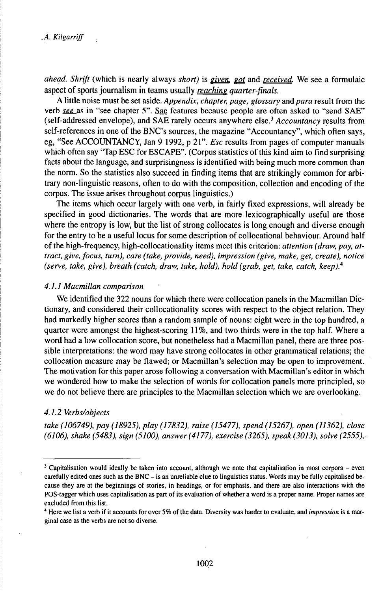*ahead. Shrifi* (which is nearly always *short)* is *given, got* and *received.* We see a formulaic aspect of sports journalism in teams usually *reaching quarter-finals.*

A little noise must be set aside. *Appendix, chapter, page, glossary* and *para* result from the verb *see* as in "see chapter 5". Sae features because people are often asked to "send SAE" (self-addressed envelope), and SAE rarely occurs anywhere else.<sup>3</sup> *Accountancy* results from self-references in one of the BNC's sources, the magazine "Accountancy", which often says, eg, "See ACCOUNTANCY, Jan 9 1992, p 21". *Esc* results from pages of computer manuals which often say "Tap ESC for ESCAPE". (Corpus statistics of this kind aim to find surprising facts about the language, and surprisingness is identified with being much more common than the norm. So the statistics also succeed in finding items that are strikingly common for arbitrary non-linguistic reasons, often to do with the composition, collection and encoding of the corpus. The issue arises throughout corpus linguistics.)

The items which occur largely with one verb, in fairly fixed expressions, will already be specified in good dictionaries. The words that are more lexicographically useful are those where the entropy is low, but the list of strong collocates is long enough and diverse enough for the entry to be a useful locus for some description of collocational behaviour. Around half of the high-frequency, high-collocationality items meet this criterion: *attention (draw, pay, attract, give, focus, turn), care (take, provide, need), impression (give, make, get, create), notice (serve, take, give), breath (catch, draw, take, hold), hold (grab, get, take, catch, keep).<sup>4</sup>*

#### *4.1.1 Macmillan comparison*

We identified the 322 nouns for which there were collocation panels in the Macmillan Dictionary, and considered their collocationality scores with respect to the object relation. They had markedly higher scores than a random sample of nouns: eight were in the top hundred, a quarter were amongst the highest-scoring 11%, and two thirds were in the top half. Where a word had a low collocation score, but nonetheless had a Macmillan panel, there are three possible interpretations: the word may have strong collocates in other grammatical relations; the collocation measure may be flawed; or Macmillan's selection may be open to improvement. The motivation for this paper arose following a conversation with Macmillan's editor in which we wondered how to make the selection of words for collocation panels more principled, so we do not believe there are principles to the Macmillan selection which we are overlooking.

#### *4.1.2 Verbs/objects*

*take (106749), pay (18925), play (17832), raise (15477), spend (15267), open (11362), close (6106), shake (5483), sign (5100), answer(4177), exercise (3265), speak (3013), solve (2555),*

<sup>3</sup> Capitalisation would ideally be taken into account, although we note that capitalisation in most corpora - even carefully edited ones such as the BNC - is an unreliable clue to linguistics status. Words may be fully capitalised because they are at the beginnings of stories, in headings, or for emphasis, and there are also interactions with the POS-tagger which uses capitalisation as part of its evaluation of whether a word is a proper name. Proper names are excluded from this list.

<sup>4</sup> Here we list a verb if it accounts for over 5% ofthe data. Diversity was harder to evaluate, and *impression* is a marginal case as the verbs are not so diverse.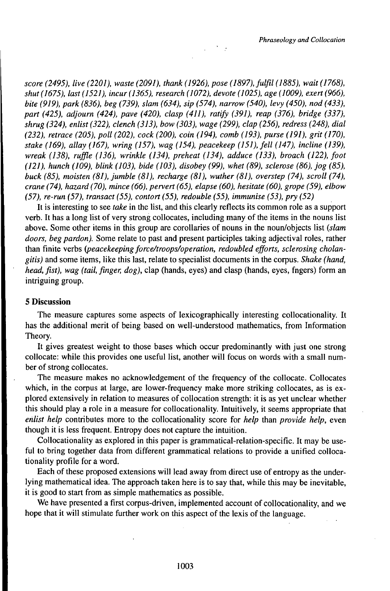*score (2495), live (2201), waste (2091), thank (1926), pose (1897), fulfil (1885), wait (1768), shut(1675), last(1521), incur(1365), research (1072), devote (1025), age (1009), exert(966), bite (919), park (836), beg (739), slam (634), sip (574), narrow (540), levy (450), nod (433), part (425), adjourn (424), pave (420), clasp (411), ratify (391), reap (376), bridge (337), shrug (324), enlist (322), clench (313), bow (303), wage (299), clap (256), redress (248), dial (232), retrace (205), poll (202), cock (200), coin (194), comb (193), purse (191), grit (170), stake (169), allay (167), wring (157), wag (154), peacekeep (151), fell (147), incline (139), wreak (138), ruffle (136), wrinkle (134), preheat (134), adduce (133), broach (122), foot (121), hunch (109), blink (103), bide (103), disobey (99), whet (89), sclerose (86), jog (85), buck (85), moisten (81), jumble (81), recharge (81), wuther (81), overstep (74), scroll (74), crane (74), hazard (70), mince (66), pervert (65), elapse (60), hesitate (60), grope (59), elbow (57), re-run (57), transact (55), contort (55), redouble (55), immunise (53), pry (52)*

It is interesting to see *take* in the list, and this clearly reflects its common role as a support verb. It has a long list of very strong collocates, including many of the items in the nouns list above. Some other items in this group are corollaries of nouns in the noun/objects list *(slam doors, beg pardon).* Some relate to past and present participles taking adjectival roles, rather than finite verbs *tyeacekeepingforce/troops/operation, redoubled efforts, sclerosing cholangitis)* and some items, like this last, relate to specialist documents in the corpus. *Shake (hand, head, fist), wag (tail, finger, dog),* clap (hands, eyes) and clasp (hands, eyes, fngers) form an intriguing group.

#### **5 Discussion**

The measure captures some aspects of lexicographically interesting collocationality. It has the additional merit of being based on well-understood mathematics, from Information Theory.

It gives greatest weight to those bases which occur predominantly with just one strong collocate: while this provides one useful list, another will focus on words with a small number of strong collocates.

The measure makes no acknowledgement of the frequency of the collocate. Collocates which, in the corpus at large, are lower-frequency make more striking collocates, as is explored extensively in relation to measures of collocation strength: it is as yet unclear whether this should play a role in a measure for collocationality. Intuitively, it seems appropriate that *ehlist help* contributes more to the collocationality score for *help* than *provide help,* even though it is less frequent. Entropy does not capture the intuition.

Collocationality as explored in this paper is grammatical-relation-specific. It may be useful to bring together data from different grammatical relations to provide a unified collocationality profile for a word.

Each of these proposed extensions will lead away from direct use of entropy as the underlying mathematical idea. The approach taken here is to say that, while this may be inevitable, it is good to start from as simple mathematics as possible.

We have presented a first corpus-driven, implemented account of collocationality, and we hope that it will stimulate further work on this aspect of the lexis of the language.